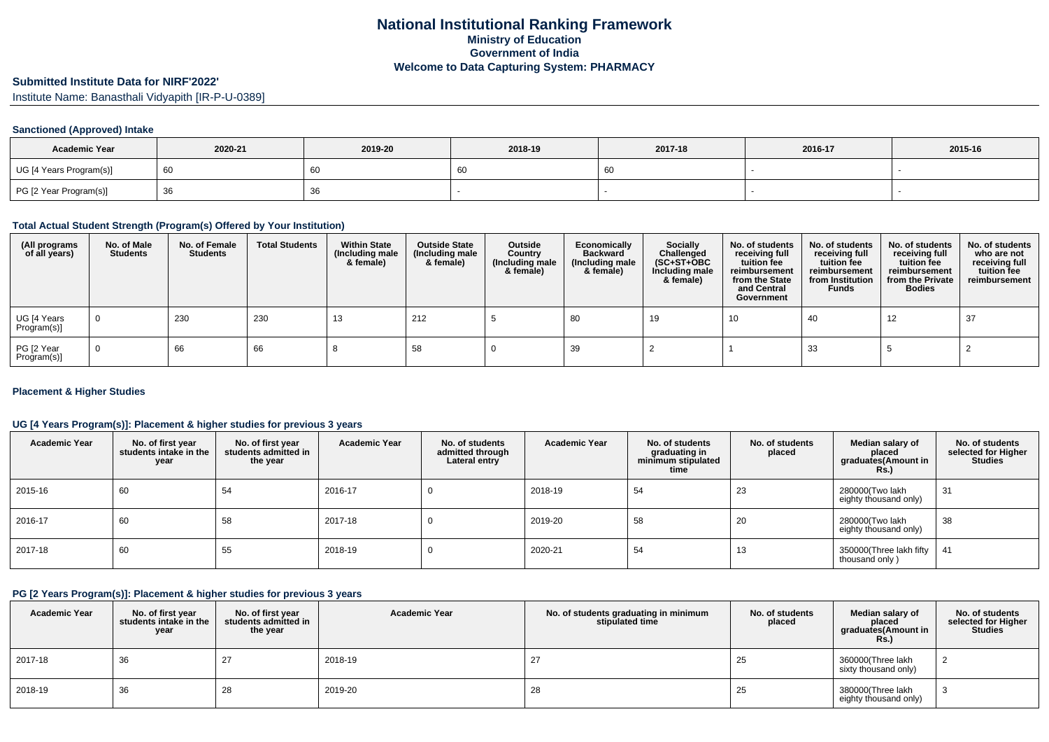# **Submitted Institute Data for NIRF'2022'**

Institute Name: Banasthali Vidyapith [IR-P-U-0389]

### **Sanctioned (Approved) Intake**

| <b>Academic Year</b>    | 2020-21 | 2019-20 | 2018-19 | 2017-18 | 2016-17 | 2015-16 |
|-------------------------|---------|---------|---------|---------|---------|---------|
| UG [4 Years Program(s)] |         | 60      | 60      |         |         |         |
| PG [2 Year Program(s)]  |         | 36      |         |         |         |         |

#### **Total Actual Student Strength (Program(s) Offered by Your Institution)**

| (All programs<br>of all years) | No. of Male<br><b>Students</b> | No. of Female<br>Students | <b>Total Students</b> | <b>Within State</b><br>(Including male<br>& female) | <b>Outside State</b><br>(Including male<br>& female) | Outside<br>Country<br>(Including male<br>& female) | Economically<br><b>Backward</b><br>(Including male<br>& female) | Socially<br>Challenged<br>$(SC+ST+OBC)$<br>Including male<br>& female) | No. of students<br>receiving full<br>tuition fee<br>reimbursement<br>from the State<br>and Central<br>Government | No. of students<br>receiving full<br>tuition fee<br>reimbursement<br>from Institution<br><b>Funds</b> | No. of students<br>receiving full<br>tuition fee<br>reimbursement<br>from the Private<br><b>Bodies</b> | No. of students<br>who are not<br>receiving full<br>tuition fee<br>reimbursement |
|--------------------------------|--------------------------------|---------------------------|-----------------------|-----------------------------------------------------|------------------------------------------------------|----------------------------------------------------|-----------------------------------------------------------------|------------------------------------------------------------------------|------------------------------------------------------------------------------------------------------------------|-------------------------------------------------------------------------------------------------------|--------------------------------------------------------------------------------------------------------|----------------------------------------------------------------------------------|
| UG [4 Years<br>Program(s)]     | $\mathbf 0$                    | 230                       | 230                   | 13                                                  | 212                                                  |                                                    | 80                                                              | 19                                                                     | 10                                                                                                               | 40                                                                                                    | 12                                                                                                     | 37                                                                               |
| PG [2 Year<br>Program(s)]      | $\overline{0}$                 | 66                        | 66                    |                                                     | 58                                                   |                                                    | 39                                                              |                                                                        |                                                                                                                  | 33                                                                                                    |                                                                                                        |                                                                                  |

#### **Placement & Higher Studies**

### **UG [4 Years Program(s)]: Placement & higher studies for previous 3 years**

| <b>Academic Year</b> | No. of first year<br>students intake in the<br>year | No. of first vear<br>students admitted in<br>the year | <b>Academic Year</b> | No. of students<br>admitted through<br>Lateral entry | <b>Academic Year</b> | No. of students<br>graduating in<br>minimum stipulated<br>time | No. of students<br>placed | Median salary of<br>placed<br>graduates(Amount in<br>Rs.) | No. of students<br>selected for Higher<br><b>Studies</b> |
|----------------------|-----------------------------------------------------|-------------------------------------------------------|----------------------|------------------------------------------------------|----------------------|----------------------------------------------------------------|---------------------------|-----------------------------------------------------------|----------------------------------------------------------|
| 2015-16              | 60                                                  | 54                                                    | 2016-17              | υ                                                    | 2018-19              | 54                                                             | 23                        | 280000(Two lakh<br>eighty thousand only)                  | 31                                                       |
| 2016-17              | 60                                                  | 58                                                    | 2017-18              | υ                                                    | 2019-20              | 58                                                             | 20                        | 280000(Two lakh<br>eighty thousand only)                  | 38                                                       |
| 2017-18              | 60                                                  | 55                                                    | 2018-19              | υ                                                    | 2020-21              | 54                                                             | 13                        | 350000(Three lakh fifty<br>thousand only)                 | 41                                                       |

### **PG [2 Years Program(s)]: Placement & higher studies for previous 3 years**

| <b>Academic Year</b> | No. of first year<br>students intake in the<br>year | No. of first vear<br>students admitted in<br>the year | <b>Academic Year</b> | No. of students graduating in minimum<br>stipulated time | No. of students<br>placed | Median salary of<br>placed<br>graduates(Amount in<br>Rs.) | No. of students<br>selected for Higher<br><b>Studies</b> |
|----------------------|-----------------------------------------------------|-------------------------------------------------------|----------------------|----------------------------------------------------------|---------------------------|-----------------------------------------------------------|----------------------------------------------------------|
| 2017-18              | 36                                                  | 27                                                    | 2018-19              | 27                                                       | 25                        | 360000(Three lakh<br>sixty thousand only)                 |                                                          |
| 2018-19              | 36                                                  | 28                                                    | 2019-20              | 28                                                       | 25                        | 380000(Three lakh<br>eighty thousand only)                |                                                          |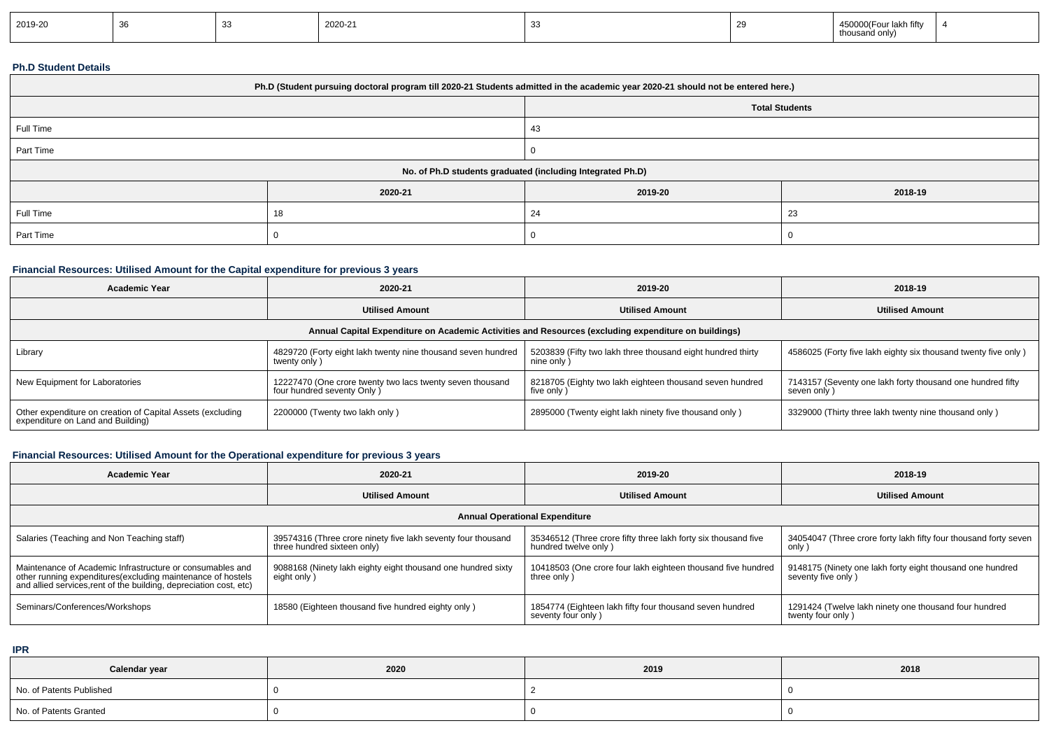| 2019-20 |  |  | 2020-21 |  |  | 450000(Four lakh fifty<br>thousand only |  |
|---------|--|--|---------|--|--|-----------------------------------------|--|
|---------|--|--|---------|--|--|-----------------------------------------|--|

# **Ph.D Student Details**

| Ph.D (Student pursuing doctoral program till 2020-21 Students admitted in the academic year 2020-21 should not be entered here.) |         |                       |         |  |  |
|----------------------------------------------------------------------------------------------------------------------------------|---------|-----------------------|---------|--|--|
|                                                                                                                                  |         | <b>Total Students</b> |         |  |  |
| Full Time                                                                                                                        |         | 43                    |         |  |  |
| Part Time                                                                                                                        |         |                       |         |  |  |
| No. of Ph.D students graduated (including Integrated Ph.D)                                                                       |         |                       |         |  |  |
|                                                                                                                                  | 2020-21 | 2019-20               | 2018-19 |  |  |
| Full Time                                                                                                                        | 18      | 24                    | 23      |  |  |
| Part Time                                                                                                                        |         |                       |         |  |  |

# **Financial Resources: Utilised Amount for the Capital expenditure for previous 3 years**

| <b>Academic Year</b>                                                                                 | 2020-21                                                                                 | 2019-20                                                                   | 2018-19                                                                   |  |  |  |  |
|------------------------------------------------------------------------------------------------------|-----------------------------------------------------------------------------------------|---------------------------------------------------------------------------|---------------------------------------------------------------------------|--|--|--|--|
|                                                                                                      | <b>Utilised Amount</b>                                                                  | <b>Utilised Amount</b>                                                    | <b>Utilised Amount</b>                                                    |  |  |  |  |
| Annual Capital Expenditure on Academic Activities and Resources (excluding expenditure on buildings) |                                                                                         |                                                                           |                                                                           |  |  |  |  |
| Library                                                                                              | 4829720 (Forty eight lakh twenty nine thousand seven hundred<br>twenty only)            | 5203839 (Fifty two lakh three thousand eight hundred thirty<br>nine only) | 4586025 (Forty five lakh eighty six thousand twenty five only)            |  |  |  |  |
| New Equipment for Laboratories                                                                       | 12227470 (One crore twenty two lacs twenty seven thousand<br>four hundred seventy Only) | 8218705 (Eighty two lakh eighteen thousand seven hundred<br>five only     | 7143157 (Seventy one lakh forty thousand one hundred fifty<br>seven only) |  |  |  |  |
| Other expenditure on creation of Capital Assets (excluding<br>expenditure on Land and Building)      | 2200000 (Twenty two lakh only)                                                          | 2895000 (Twenty eight lakh ninety five thousand only)                     | 3329000 (Thirty three lakh twenty nine thousand only)                     |  |  |  |  |

# **Financial Resources: Utilised Amount for the Operational expenditure for previous 3 years**

| <b>Academic Year</b>                                                                                                                                                                            | 2020-21                                                                                     | 2019-20                                                                                | 2018-19                                                                         |  |  |  |
|-------------------------------------------------------------------------------------------------------------------------------------------------------------------------------------------------|---------------------------------------------------------------------------------------------|----------------------------------------------------------------------------------------|---------------------------------------------------------------------------------|--|--|--|
|                                                                                                                                                                                                 | <b>Utilised Amount</b>                                                                      | <b>Utilised Amount</b>                                                                 | <b>Utilised Amount</b>                                                          |  |  |  |
| <b>Annual Operational Expenditure</b>                                                                                                                                                           |                                                                                             |                                                                                        |                                                                                 |  |  |  |
| Salaries (Teaching and Non Teaching staff)                                                                                                                                                      | 39574316 (Three crore ninety five lakh seventy four thousand<br>three hundred sixteen only) | 35346512 (Three crore fifty three lakh forty six thousand five<br>hundred twelve only) | 34054047 (Three crore forty lakh fifty four thousand forty seven<br>only )      |  |  |  |
| Maintenance of Academic Infrastructure or consumables and<br>other running expenditures (excluding maintenance of hostels<br>and allied services, rent of the building, depreciation cost, etc) | 9088168 (Ninety lakh eighty eight thousand one hundred sixty<br>eight only)                 | 10418503 (One crore four lakh eighteen thousand five hundred<br>three only)            | 9148175 (Ninety one lakh forty eight thousand one hundred<br>seventy five only) |  |  |  |
| Seminars/Conferences/Workshops                                                                                                                                                                  | 18580 (Eighteen thousand five hundred eighty only)                                          | 1854774 (Eighteen lakh fifty four thousand seven hundred<br>seventy four only)         | 1291424 (Twelve lakh ninety one thousand four hundred<br>twenty four only)      |  |  |  |

**IPR**

| Calendar year            | 2020 | 2019 | 2018 |
|--------------------------|------|------|------|
| No. of Patents Published |      |      |      |
| No. of Patents Granted   |      |      |      |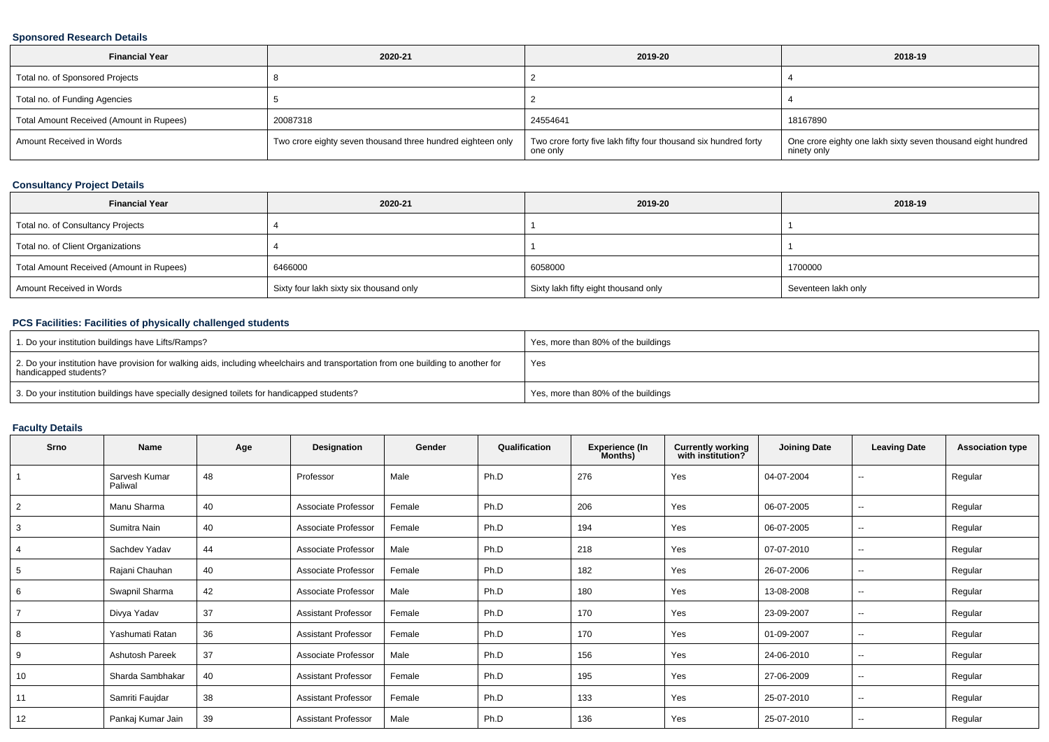### **Sponsored Research Details**

| <b>Financial Year</b>                    | 2020-21                                                     | 2019-20                                                                     | 2018-19                                                                     |
|------------------------------------------|-------------------------------------------------------------|-----------------------------------------------------------------------------|-----------------------------------------------------------------------------|
| Total no. of Sponsored Projects          |                                                             |                                                                             |                                                                             |
| Total no. of Funding Agencies            |                                                             |                                                                             |                                                                             |
| Total Amount Received (Amount in Rupees) | 20087318                                                    | 24554641                                                                    | 18167890                                                                    |
| Amount Received in Words                 | Two crore eighty seven thousand three hundred eighteen only | Two crore forty five lakh fifty four thousand six hundred forty<br>one only | One crore eighty one lakh sixty seven thousand eight hundred<br>ninety only |

# **Consultancy Project Details**

| <b>Financial Year</b>                    | 2020-21                                 | 2019-20                              | 2018-19             |
|------------------------------------------|-----------------------------------------|--------------------------------------|---------------------|
| Total no. of Consultancy Projects        |                                         |                                      |                     |
| Total no. of Client Organizations        |                                         |                                      |                     |
| Total Amount Received (Amount in Rupees) | 6466000                                 | 6058000                              | 1700000             |
| Amount Received in Words                 | Sixty four lakh sixty six thousand only | Sixty lakh fifty eight thousand only | Seventeen lakh only |

# **PCS Facilities: Facilities of physically challenged students**

| 1. Do your institution buildings have Lifts/Ramps?                                                                                                         | Yes, more than 80% of the buildings |
|------------------------------------------------------------------------------------------------------------------------------------------------------------|-------------------------------------|
| 2. Do your institution have provision for walking aids, including wheelchairs and transportation from one building to another for<br>handicapped students? | Yes                                 |
| 3. Do your institution buildings have specially designed toilets for handicapped students?                                                                 | Yes, more than 80% of the buildings |

#### **Faculty Details**

| Srno           | <b>Name</b>              | Age | Designation                | Gender | Qualification | <b>Experience (In</b><br>Months) | <b>Currently working</b><br>with institution? | <b>Joining Date</b> | <b>Leaving Date</b>      | <b>Association type</b> |
|----------------|--------------------------|-----|----------------------------|--------|---------------|----------------------------------|-----------------------------------------------|---------------------|--------------------------|-------------------------|
|                | Sarvesh Kumar<br>Paliwal | 48  | Professor                  | Male   | Ph.D          | 276                              | Yes                                           | 04-07-2004          | $\sim$                   | Regular                 |
| $\overline{2}$ | Manu Sharma              | 40  | Associate Professor        | Female | Ph.D          | 206                              | Yes                                           | 06-07-2005          | $\sim$                   | Regular                 |
| 3              | Sumitra Nain             | 40  | Associate Professor        | Female | Ph.D          | 194                              | Yes                                           | 06-07-2005          | $\overline{\phantom{a}}$ | Regular                 |
| 4              | Sachdev Yadav            | 44  | Associate Professor        | Male   | Ph.D          | 218                              | Yes                                           | 07-07-2010          | $\sim$                   | Regular                 |
| 5              | Rajani Chauhan           | 40  | Associate Professor        | Female | Ph.D          | 182                              | Yes                                           | 26-07-2006          | --                       | Regular                 |
| 6              | Swapnil Sharma           | 42  | Associate Professor        | Male   | Ph.D          | 180                              | Yes                                           | 13-08-2008          | --                       | Regular                 |
|                | Divya Yadav              | 37  | <b>Assistant Professor</b> | Female | Ph.D          | 170                              | Yes                                           | 23-09-2007          | $\overline{\phantom{a}}$ | Regular                 |
| 8              | Yashumati Ratan          | 36  | <b>Assistant Professor</b> | Female | Ph.D          | 170                              | Yes                                           | 01-09-2007          | $\sim$                   | Regular                 |
| 9              | <b>Ashutosh Pareek</b>   | 37  | Associate Professor        | Male   | Ph.D          | 156                              | Yes                                           | 24-06-2010          | $\sim$                   | Regular                 |
| 10             | Sharda Sambhakar         | 40  | <b>Assistant Professor</b> | Female | Ph.D          | 195                              | Yes                                           | 27-06-2009          | $\sim$                   | Regular                 |
| 11             | Samriti Faujdar          | 38  | <b>Assistant Professor</b> | Female | Ph.D          | 133                              | Yes                                           | 25-07-2010          | $\sim$                   | Regular                 |
| 12             | Pankaj Kumar Jain        | 39  | <b>Assistant Professor</b> | Male   | Ph.D          | 136                              | Yes                                           | 25-07-2010          | --                       | Regular                 |